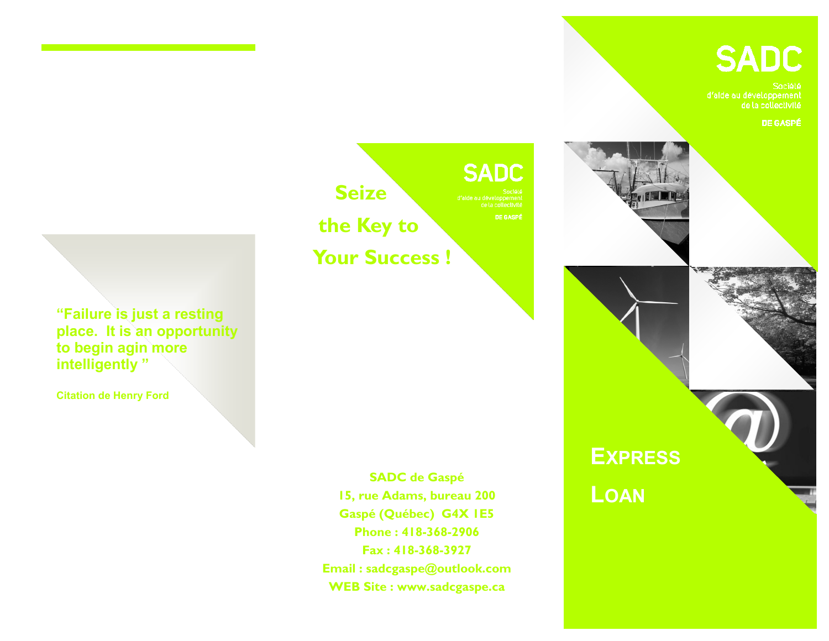# **SADC**

d'alde au développement<br>de la collectivité

**EXPRESS**

**LOAN**

**DE GASPÉ** 

**SADC Seize the Key to Your Success !**

**DE GASPÉ** 

**"Failure is just a resting place. It is an opportunity to begin agin more intelligently "**

**Citation de Henry Ford**

**SADC de Gaspé 15, rue Adams, bureau 200 Gaspé (Québec) G4X 1E5 Phone : 418-368-2906 Fax : 418-368-3927 Email : sadcgaspe@outlook.com WEB Site : www.sadcgaspe.ca**